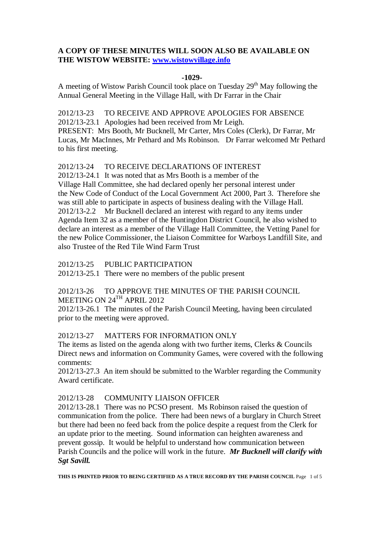## **A COPY OF THESE MINUTES WILL SOON ALSO BE AVAILABLE ON THE WISTOW WEBSITE: [www.wistowvillage.info](http://www.wistowvillage.info/)**

### **-1029-**

A meeting of Wistow Parish Council took place on Tuesday 29<sup>th</sup> May following the Annual General Meeting in the Village Hall, with Dr Farrar in the Chair

2012/13-23 TO RECEIVE AND APPROVE APOLOGIES FOR ABSENCE 2012/13-23.1 Apologies had been received from Mr Leigh. PRESENT: Mrs Booth, Mr Bucknell, Mr Carter, Mrs Coles (Clerk), Dr Farrar, Mr Lucas, Mr MacInnes, Mr Pethard and Ms Robinson. Dr Farrar welcomed Mr Pethard to his first meeting.

# 2012/13-24 TO RECEIVE DECLARATIONS OF INTEREST

2012/13-24.1 It was noted that as Mrs Booth is a member of the Village Hall Committee, she had declared openly her personal interest under the New Code of Conduct of the Local Government Act 2000, Part 3. Therefore she was still able to participate in aspects of business dealing with the Village Hall. 2012/13-2.2 Mr Bucknell declared an interest with regard to any items under Agenda Item 32 as a member of the Huntingdon District Council, he also wished to declare an interest as a member of the Village Hall Committee, the Vetting Panel for the new Police Commissioner, the Liaison Committee for Warboys Landfill Site, and also Trustee of the Red Tile Wind Farm Trust

2012/13-25 PUBLIC PARTICIPATION

2012/13-25.1 There were no members of the public present

### 2012/13-26 TO APPROVE THE MINUTES OF THE PARISH COUNCIL MEETING ON 24<sup>TH</sup> APRIL 2012

2012/13-26.1 The minutes of the Parish Council Meeting, having been circulated prior to the meeting were approved.

## 2012/13-27 MATTERS FOR INFORMATION ONLY

The items as listed on the agenda along with two further items, Clerks & Councils Direct news and information on Community Games, were covered with the following comments:

2012/13-27.3 An item should be submitted to the Warbler regarding the Community Award certificate.

### 2012/13-28 COMMUNITY LIAISON OFFICER

2012/13-28.1 There was no PCSO present. Ms Robinson raised the question of communication from the police. There had been news of a burglary in Church Street but there had been no feed back from the police despite a request from the Clerk for an update prior to the meeting. Sound information can heighten awareness and prevent gossip. It would be helpful to understand how communication between Parish Councils and the police will work in the future. *Mr Bucknell will clarify with Sgt Savill.*

**THIS IS PRINTED PRIOR TO BEING CERTIFIED AS A TRUE RECORD BY THE PARISH COUNCIL** Page 1 of 5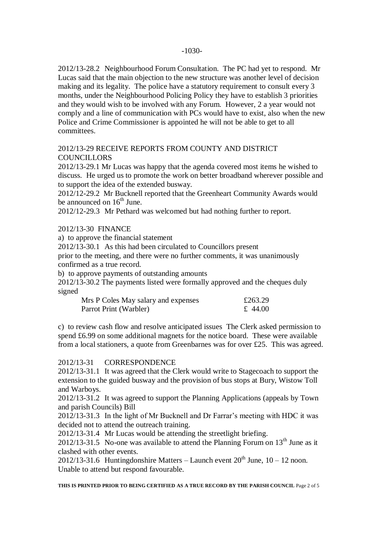2012/13-28.2 Neighbourhood Forum Consultation. The PC had yet to respond. Mr Lucas said that the main objection to the new structure was another level of decision making and its legality. The police have a statutory requirement to consult every 3 months, under the Neighbourhood Policing Policy they have to establish 3 priorities and they would wish to be involved with any Forum. However, 2 a year would not comply and a line of communication with PCs would have to exist, also when the new Police and Crime Commissioner is appointed he will not be able to get to all committees.

## 2012/13-29 RECEIVE REPORTS FROM COUNTY AND DISTRICT COUNCILLORS

2012/13-29.1 Mr Lucas was happy that the agenda covered most items he wished to discuss. He urged us to promote the work on better broadband wherever possible and to support the idea of the extended busway.

2012/12-29.2 Mr Bucknell reported that the Greenheart Community Awards would be announced on  $16<sup>th</sup>$  June.

2012/12-29.3 Mr Pethard was welcomed but had nothing further to report.

### 2012/13-30 FINANCE

a) to approve the financial statement

2012/13-30.1 As this had been circulated to Councillors present

prior to the meeting, and there were no further comments, it was unanimously confirmed as a true record.

b) to approve payments of outstanding amounts

2012/13-30.2 The payments listed were formally approved and the cheques duly signed

| Mrs P Coles May salary and expenses | £263.29 |
|-------------------------------------|---------|
| Parrot Print (Warbler)              | £ 44.00 |

c) to review cash flow and resolve anticipated issues The Clerk asked permission to spend £6.99 on some additional magnets for the notice board. These were available from a local stationers, a quote from Greenbarnes was for over £25. This was agreed.

### 2012/13-31 CORRESPONDENCE

2012/13-31.1 It was agreed that the Clerk would write to Stagecoach to support the extension to the guided busway and the provision of bus stops at Bury, Wistow Toll and Warboys.

2012/13-31.2 It was agreed to support the Planning Applications (appeals by Town and parish Councils) Bill

2012/13-31.3 In the light of Mr Bucknell and Dr Farrar's meeting with HDC it was decided not to attend the outreach training.

2012/13-31.4 Mr Lucas would be attending the streetlight briefing.

2012/13-31.5 No-one was available to attend the Planning Forum on  $13<sup>th</sup>$  June as it clashed with other events.

2012/13-31.6 Huntingdonshire Matters – Launch event  $20^{th}$  June,  $10 - 12$  noon. Unable to attend but respond favourable.

**THIS IS PRINTED PRIOR TO BEING CERTIFIED AS A TRUE RECORD BY THE PARISH COUNCIL** Page 2 of 5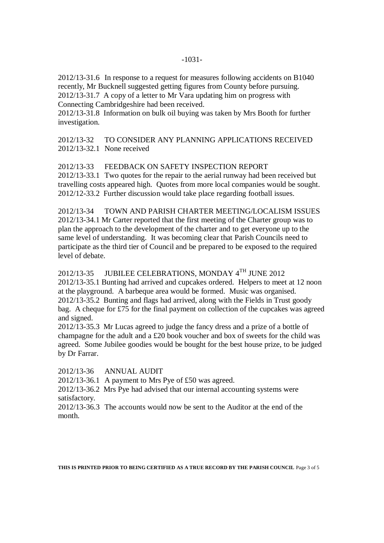2012/13-31.6 In response to a request for measures following accidents on B1040 recently, Mr Bucknell suggested getting figures from County before pursuing. 2012/13-31.7 A copy of a letter to Mr Vara updating him on progress with Connecting Cambridgeshire had been received.

2012/13-31.8 Information on bulk oil buying was taken by Mrs Booth for further investigation.

## 2012/13-32 TO CONSIDER ANY PLANNING APPLICATIONS RECEIVED 2012/13-32.1 None received

2012/13-33 FEEDBACK ON SAFETY INSPECTION REPORT

2012/13-33.1 Two quotes for the repair to the aerial runway had been received but travelling costs appeared high. Quotes from more local companies would be sought. 2012/12-33.2 Further discussion would take place regarding football issues.

2012/13-34 TOWN AND PARISH CHARTER MEETING/LOCALISM ISSUES 2012/13-34.1 Mr Carter reported that the first meeting of the Charter group was to plan the approach to the development of the charter and to get everyone up to the same level of understanding. It was becoming clear that Parish Councils need to participate as the third tier of Council and be prepared to be exposed to the required level of debate.

# 2012/13-35 JUBILEE CELEBRATIONS, MONDAY 4TH JUNE 2012

2012/13-35.1 Bunting had arrived and cupcakes ordered. Helpers to meet at 12 noon at the playground. A barbeque area would be formed. Music was organised. 2012/13-35.2 Bunting and flags had arrived, along with the Fields in Trust goody bag. A cheque for £75 for the final payment on collection of the cupcakes was agreed and signed.

2012/13-35.3 Mr Lucas agreed to judge the fancy dress and a prize of a bottle of champagne for the adult and a £20 book voucher and box of sweets for the child was agreed. Some Jubilee goodies would be bought for the best house prize, to be judged by Dr Farrar.

2012/13-36 ANNUAL AUDIT

2012/13-36.1 A payment to Mrs Pye of £50 was agreed.

2012/13-36.2 Mrs Pye had advised that our internal accounting systems were satisfactory.

2012/13-36.3 The accounts would now be sent to the Auditor at the end of the month.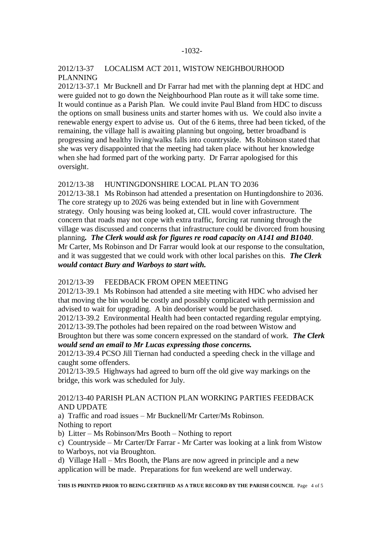### 2012/13-37 LOCALISM ACT 2011, WISTOW NEIGHBOURHOOD PLANNING

2012/13-37.1 Mr Bucknell and Dr Farrar had met with the planning dept at HDC and were guided not to go down the Neighbourhood Plan route as it will take some time. It would continue as a Parish Plan. We could invite Paul Bland from HDC to discuss the options on small business units and starter homes with us. We could also invite a renewable energy expert to advise us. Out of the 6 items, three had been ticked, of the remaining, the village hall is awaiting planning but ongoing, better broadband is progressing and healthy living/walks falls into countryside. Ms Robinson stated that she was very disappointed that the meeting had taken place without her knowledge when she had formed part of the working party. Dr Farrar apologised for this oversight.

### 2012/13-38 HUNTINGDONSHIRE LOCAL PLAN TO 2036

2012/13-38.1 Ms Robinson had attended a presentation on Huntingdonshire to 2036. The core strategy up to 2026 was being extended but in line with Government strategy. Only housing was being looked at, CIL would cover infrastructure. The concern that roads may not cope with extra traffic, forcing rat running through the village was discussed and concerns that infrastructure could be divorced from housing planning*. The Clerk would ask for figures re road capacity on A141 and B1040*. Mr Carter, Ms Robinson and Dr Farrar would look at our response to the consultation, and it was suggested that we could work with other local parishes on this. *The Clerk would contact Bury and Warboys to start with.*

### 2012/13-39 FEEDBACK FROM OPEN MEETING

2012/13-39.1 Ms Robinson had attended a site meeting with HDC who advised her that moving the bin would be costly and possibly complicated with permission and advised to wait for upgrading. A bin deodoriser would be purchased.

2012/13-39.2 Environmental Health had been contacted regarding regular emptying. 2012/13-39.The potholes had been repaired on the road between Wistow and

Broughton but there was some concern expressed on the standard of work. *The Clerk would send an email to Mr Lucas expressing those concerns.*

2012/13-39.4 PCSO Jill Tiernan had conducted a speeding check in the village and caught some offenders.

2012/13-39.5 Highways had agreed to burn off the old give way markings on the bridge, this work was scheduled for July.

### 2012/13-40 PARISH PLAN ACTION PLAN WORKING PARTIES FEEDBACK AND UPDATE

a) Traffic and road issues – Mr Bucknell/Mr Carter/Ms Robinson. Nothing to report

b) Litter – Ms Robinson/Mrs Booth – Nothing to report

c) Countryside – Mr Carter/Dr Farrar - Mr Carter was looking at a link from Wistow to Warboys, not via Broughton.

d) Village Hall – Mrs Booth, the Plans are now agreed in principle and a new

application will be made. Preparations for fun weekend are well underway.

. **THIS IS PRINTED PRIOR TO BEING CERTIFIED AS A TRUE RECORD BY THE PARISH COUNCIL** Page 4 of 5